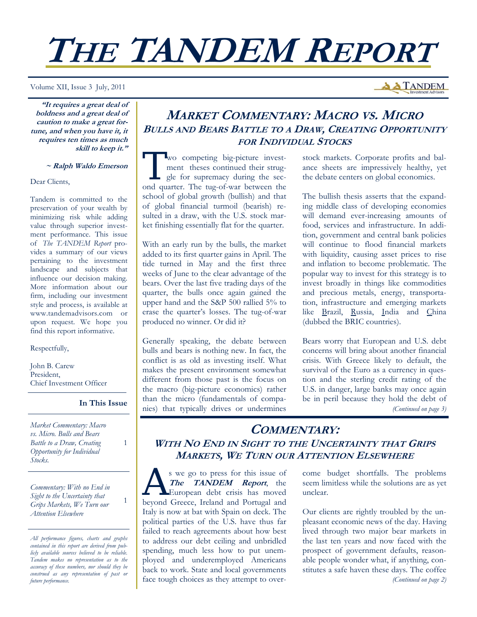# **THE TANDEM REPORT**

Volume XII, Issue 3 July, 2011

**A TANDEM** 

**"It requires a great deal of boldness and a great deal of caution to make a great fortune, and when you have it, it requires ten times as much skill to keep it."** 

#### **~ Ralph Waldo Emerson**

Dear Clients,

Tandem is committed to the preservation of your wealth by minimizing risk while adding value through superior investment performance. This issue of *The TANDEM Report* provides a summary of our views pertaining to the investment landscape and subjects that influence our decision making. More information about our firm, including our investment style and process, is available at www.tandemadvisors.com or upon request. We hope you find this report informative.

#### Respectfully,

John B. Carew President, Chief Investment Officer

## **In This Issue**

1

1

*Market Commentary: Macro vs. Micro. Bulls and Bears Battle to a Draw, Creating Opportunity for Individual Stocks.* 

*Commentary: With no End in Sight to the Uncertainty that Grips Markets, We Turn our Attention Elsewhere* 

*All performance figures, charts and graphs contained in this report are derived from publicly available sources believed to be reliable. Tandem makes no representation as to the accuracy of these numbers, nor should they be construed as any representation of past or future performance.* 

## **MARKET COMMENTARY: MACRO VS. MICRO BULLS AND BEARS BATTLE TO <sup>A</sup> DRAW, CREATING OPPORTUNITY FOR INDIVIDUAL STOCKS**

Two competing big-picture invest-<br>
ment theses continued their struggle for supremacy during the sec-<br>
and querter. The two of weak between the ment theses continued their strugond quarter. The tug-of-war between the school of global growth (bullish) and that of global financial turmoil (bearish) resulted in a draw, with the U.S. stock market finishing essentially flat for the quarter.

With an early run by the bulls, the market added to its first quarter gains in April. The tide turned in May and the first three weeks of June to the clear advantage of the bears. Over the last five trading days of the quarter, the bulls once again gained the upper hand and the S&P 500 rallied 5% to erase the quarter's losses. The tug-of-war produced no winner. Or did it?

Generally speaking, the debate between bulls and bears is nothing new. In fact, the conflict is as old as investing itself. What makes the present environment somewhat different from those past is the focus on the macro (big-picture economics) rather than the micro (fundamentals of companies) that typically drives or undermines

stock markets. Corporate profits and balance sheets are impressively healthy, yet the debate centers on global economics.

The bullish thesis asserts that the expanding middle class of developing economies will demand ever-increasing amounts of food, services and infrastructure. In addition, government and central bank policies will continue to flood financial markets with liquidity, causing asset prices to rise and inflation to become problematic. The popular way to invest for this strategy is to invest broadly in things like commodities and precious metals, energy, transportation, infrastructure and emerging markets like Brazil, Russia, India and China (dubbed the BRIC countries).

Bears worry that European and U.S. debt concerns will bring about another financial crisis. With Greece likely to default, the survival of the Euro as a currency in question and the sterling credit rating of the U.S. in danger, large banks may once again be in peril because they hold the debt of *(Continued on page 3)* 

## **COMMENTARY: WITH NO END IN SIGHT TO THE UNCERTAINTY THAT GRIPS MARKETS, WE TURN OUR ATTENTION ELSEWHERE**

s we go to press for this issue of **The TANDEM Report**, the European debt crisis has moved beyond Greece, Ireland and Portugal and Italy is now at bat with Spain on deck. The political parties of the U.S. have thus far failed to reach agreements about how best to address our debt ceiling and unbridled spending, much less how to put unemployed and underemployed Americans back to work. State and local governments face tough choices as they attempt to overcome budget shortfalls. The problems seem limitless while the solutions are as yet unclear.

Our clients are rightly troubled by the unpleasant economic news of the day. Having lived through two major bear markets in the last ten years and now faced with the prospect of government defaults, reasonable people wonder what, if anything, constitutes a safe haven these days. The coffee *(Continued on page 2)*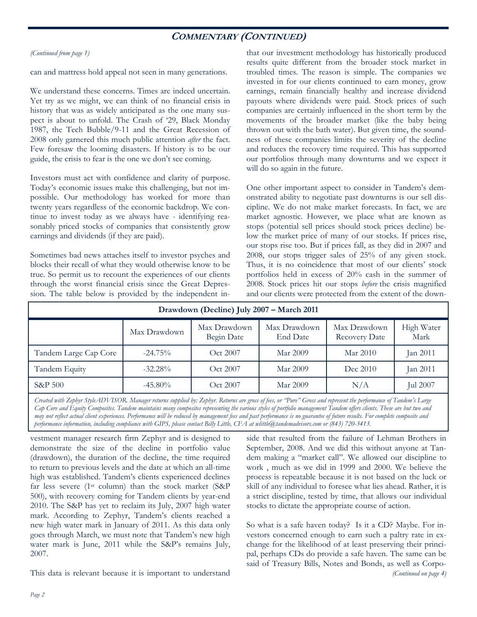## **COMMENTARY (CONTINUED)**

## *(Continued from page 1)*

can and mattress hold appeal not seen in many generations.

We understand these concerns. Times are indeed uncertain. Yet try as we might, we can think of no financial crisis in history that was as widely anticipated as the one many suspect is about to unfold. The Crash of '29, Black Monday 1987, the Tech Bubble/9-11 and the Great Recession of 2008 only garnered this much public attention *after* the fact. Few foresaw the looming disasters. If history is to be our guide, the crisis to fear is the one we don't see coming.

Investors must act with confidence and clarity of purpose. Today's economic issues make this challenging, but not impossible. Our methodology has worked for more than twenty years regardless of the economic backdrop. We continue to invest today as we always have - identifying reasonably priced stocks of companies that consistently grow earnings and dividends (if they are paid).

Sometimes bad news attaches itself to investor psyches and blocks their recall of what they would otherwise know to be true. So permit us to recount the experiences of our clients through the worst financial crisis since the Great Depression. The table below is provided by the independent inthat our investment methodology has historically produced results quite different from the broader stock market in troubled times. The reason is simple. The companies we invested in for our clients continued to earn money, grow earnings, remain financially healthy and increase dividend payouts where dividends were paid. Stock prices of such companies are certainly influenced in the short term by the movements of the broader market (like the baby being thrown out with the bath water). But given time, the soundness of these companies limits the severity of the decline and reduces the recovery time required. This has supported our portfolios through many downturns and we expect it will do so again in the future.

One other important aspect to consider in Tandem's demonstrated ability to negotiate past downturns is our sell discipline. We do not make market forecasts. In fact, we are market agnostic. However, we place what are known as stops (potential sell prices should stock prices decline) below the market price of many of our stocks. If prices rise, our stops rise too. But if prices fall, as they did in 2007 and 2008, our stops trigger sales of 25% of any given stock. Thus, it is no coincidence that most of our clients' stock portfolios held in excess of 20% cash in the summer of 2008. Stock prices hit our stops *before* the crisis magnified and our clients were protected from the extent of the down-

| Drawdown (Decline) July 2007 - March 2011 |              |                            |                          |                                      |                    |  |  |  |  |  |  |
|-------------------------------------------|--------------|----------------------------|--------------------------|--------------------------------------|--------------------|--|--|--|--|--|--|
|                                           | Max Drawdown | Max Drawdown<br>Begin Date | Max Drawdown<br>End Date | Max Drawdown<br><b>Recovery Date</b> | High Water<br>Mark |  |  |  |  |  |  |
| Tandem Large Cap Core                     | $-24.75%$    | Oct 2007                   | Mar 2009                 | Mar 2010                             | Jan 2011           |  |  |  |  |  |  |
| Tandem Equity                             | $-32.28%$    | Oct 2007                   | Mar 2009                 | Dec 2010                             | Jan 2011           |  |  |  |  |  |  |
| <b>S&amp;P 500</b>                        | $-45.80\%$   | Oct 2007                   | Mar 2009                 | N/A                                  | <b>Jul 2007</b>    |  |  |  |  |  |  |

*Created with Zephyr StyleADVISOR. Manager returns supplied by: Zephyr. Returns are gross of fees, or "Pure" Gross and represent the performance of Tandem's Large Cap Core and Equity Composites. Tandem maintains many composites representing the various styles of portfolio management Tandem offers clients. These are but two and may not reflect actual client experiences. Performance will be reduced by management fees and past performance is no guarantee of future results. For complete composite and performance information, including compliance with GIPS, please contact Billy Little, CFA at wlittle@tandemadvisors.com or (843) 720-3413.* 

vestment manager research firm Zephyr and is designed to demonstrate the size of the decline in portfolio value (drawdown), the duration of the decline, the time required to return to previous levels and the date at which an all-time high was established. Tandem's clients experienced declines far less severe (1st column) than the stock market (S&P 500), with recovery coming for Tandem clients by year-end 2010. The S&P has yet to reclaim its July, 2007 high water mark. According to Zephyr, Tandem's clients reached a new high water mark in January of 2011. As this data only goes through March, we must note that Tandem's new high water mark is June, 2011 while the S&P's remains July, 2007.

This data is relevant because it is important to understand

side that resulted from the failure of Lehman Brothers in September, 2008. And we did this without anyone at Tandem making a "market call". We allowed our discipline to work , much as we did in 1999 and 2000. We believe the process is repeatable because it is not based on the luck or skill of any individual to foresee what lies ahead. Rather, it is a strict discipline, tested by time, that allows our individual stocks to dictate the appropriate course of action.

So what is a safe haven today? Is it a CD? Maybe. For investors concerned enough to earn such a paltry rate in exchange for the likelihood of at least preserving their principal, perhaps CDs do provide a safe haven. The same can be said of Treasury Bills, Notes and Bonds, as well as Corpo- *(Continued on page 4)*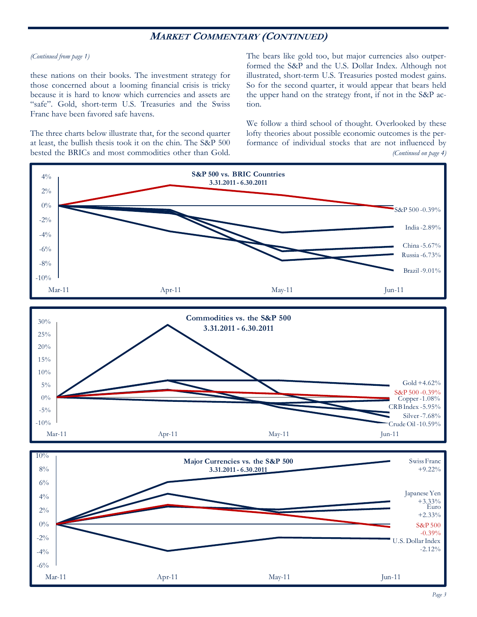## **MARKET COMMENTARY (CONTINUED)**

#### *(Continued from page 1)*

these nations on their books. The investment strategy for those concerned about a looming financial crisis is tricky because it is hard to know which currencies and assets are "safe". Gold, short-term U.S. Treasuries and the Swiss Franc have been favored safe havens.

The three charts below illustrate that, for the second quarter at least, the bullish thesis took it on the chin. The S&P 500 bested the BRICs and most commodities other than Gold. The bears like gold too, but major currencies also outperformed the S&P and the U.S. Dollar Index. Although not illustrated, short-term U.S. Treasuries posted modest gains. So for the second quarter, it would appear that bears held the upper hand on the strategy front, if not in the S&P action.

We follow a third school of thought. Overlooked by these lofty theories about possible economic outcomes is the performance of individual stocks that are not influenced by *(Continued on page 4)* 

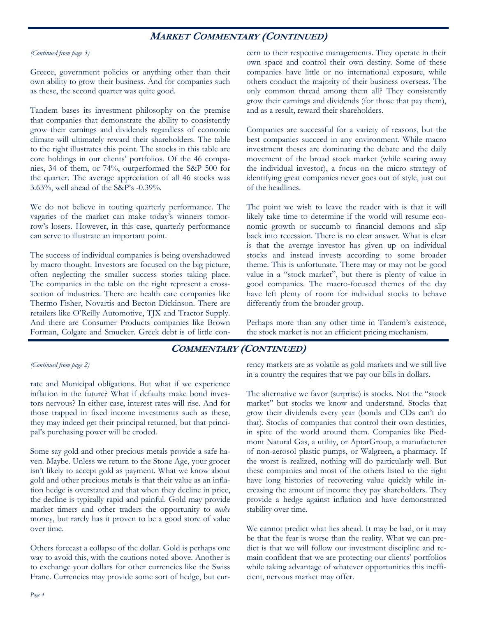## **MARKET COMMENTARY (CONTINUED)**

#### *(Continued from page 3)*

Greece, government policies or anything other than their own ability to grow their business. And for companies such as these, the second quarter was quite good.

Tandem bases its investment philosophy on the premise that companies that demonstrate the ability to consistently grow their earnings and dividends regardless of economic climate will ultimately reward their shareholders. The table to the right illustrates this point. The stocks in this table are core holdings in our clients' portfolios. Of the 46 companies, 34 of them, or 74%, outperformed the S&P 500 for the quarter. The average appreciation of all 46 stocks was 3.63%, well ahead of the S&P's -0.39%.

We do not believe in touting quarterly performance. The vagaries of the market can make today's winners tomorrow's losers. However, in this case, quarterly performance can serve to illustrate an important point.

The success of individual companies is being overshadowed by macro thought. Investors are focused on the big picture, often neglecting the smaller success stories taking place. The companies in the table on the right represent a crosssection of industries. There are health care companies like Thermo Fisher, Novartis and Becton Dickinson. There are retailers like O'Reilly Automotive, TJX and Tractor Supply. And there are Consumer Products companies like Brown Forman, Colgate and Smucker. Greek debt is of little concern to their respective managements. They operate in their own space and control their own destiny. Some of these companies have little or no international exposure, while others conduct the majority of their business overseas. The only common thread among them all? They consistently grow their earnings and dividends (for those that pay them), and as a result, reward their shareholders.

Companies are successful for a variety of reasons, but the best companies succeed in any environment. While macro investment theses are dominating the debate and the daily movement of the broad stock market (while scaring away the individual investor), a focus on the micro strategy of identifying great companies never goes out of style, just out of the headlines.

The point we wish to leave the reader with is that it will likely take time to determine if the world will resume economic growth or succumb to financial demons and slip back into recession. There is no clear answer. What is clear is that the average investor has given up on individual stocks and instead invests according to some broader theme. This is unfortunate. There may or may not be good value in a "stock market", but there is plenty of value in good companies. The macro-focused themes of the day have left plenty of room for individual stocks to behave differently from the broader group.

Perhaps more than any other time in Tandem's existence, the stock market is not an efficient pricing mechanism.

## **COMMENTARY (CONTINUED)**

## *(Continued from page 2)*

rate and Municipal obligations. But what if we experience inflation in the future? What if defaults make bond investors nervous? In either case, interest rates will rise. And for those trapped in fixed income investments such as these, they may indeed get their principal returned, but that principal's purchasing power will be eroded.

Some say gold and other precious metals provide a safe haven. Maybe. Unless we return to the Stone Age, your grocer isn't likely to accept gold as payment. What we know about gold and other precious metals is that their value as an inflation hedge is overstated and that when they decline in price, the decline is typically rapid and painful. Gold may provide market timers and other traders the opportunity to *make* money, but rarely has it proven to be a good store of value over time.

Others forecast a collapse of the dollar. Gold is perhaps one way to avoid this, with the cautions noted above. Another is to exchange your dollars for other currencies like the Swiss Franc. Currencies may provide some sort of hedge, but currency markets are as volatile as gold markets and we still live in a country the requires that we pay our bills in dollars.

The alternative we favor (surprise) is stocks. Not the "stock market" but stocks we know and understand. Stocks that grow their dividends every year (bonds and CDs can't do that). Stocks of companies that control their own destinies, in spite of the world around them. Companies like Piedmont Natural Gas, a utility, or AptarGroup, a manufacturer of non-aerosol plastic pumps, or Walgreen, a pharmacy. If the worst is realized, nothing will do particularly well. But these companies and most of the others listed to the right have long histories of recovering value quickly while increasing the amount of income they pay shareholders. They provide a hedge against inflation and have demonstrated stability over time.

We cannot predict what lies ahead. It may be bad, or it may be that the fear is worse than the reality. What we can predict is that we will follow our investment discipline and remain confident that we are protecting our clients' portfolios while taking advantage of whatever opportunities this inefficient, nervous market may offer.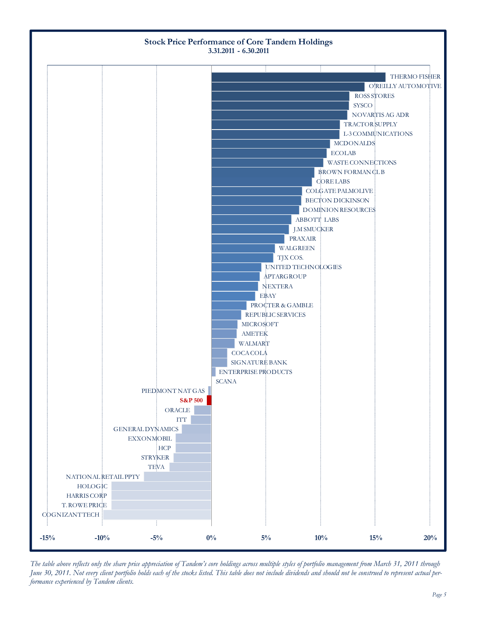

*The table above reflects only the share price appreciation of Tandem's core holdings across multiple styles of portfolio management from March 31, 2011 through June 30, 2011. Not every client portfolio holds each of the stocks listed. This table does not include dividends and should not be construed to represent actual performance experienced by Tandem clients.*